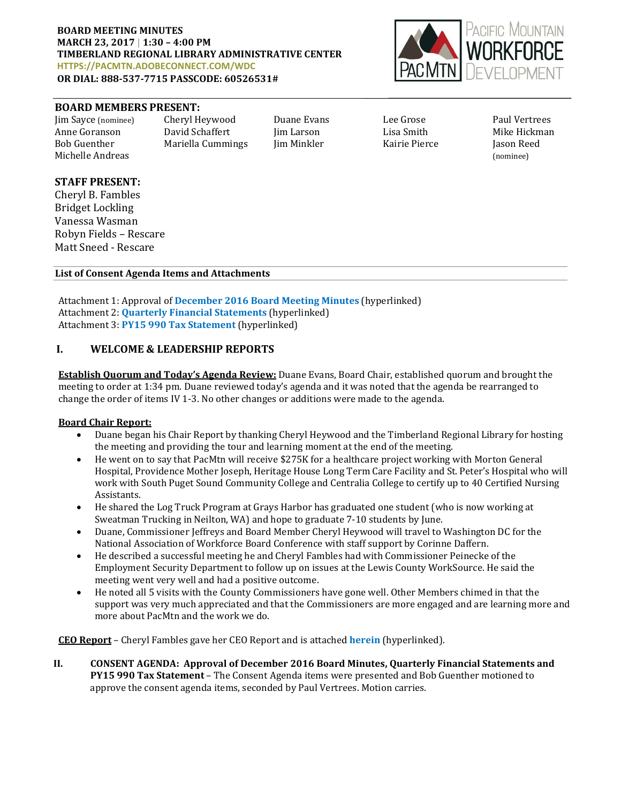#### BOARD MEETING MINUTES MARCH 23, 2017 | 1:30 – 4:00 PM TIMBERLAND REGIONAL LIBRARY ADMINISTRATIVE CENTER HTTPS://PACMTN.ADOBECONNECT.COM/WDC OR DIAL: 888-537-7715 PASSCODE: 60526531#

#### BOARD MEMBERS PRESENT:

Michelle Andreas (nominee)

Jim Sayce (nominee) Cheryl Heywood Duane Evans Lee Grose Paul Vertrees Anne Goranson David Schaffert Iim Larson Lisa Smith Mike Hickman Bob Guenther Mariella Cummings Jim Minkler Kairie Pierce Jason Reed

### STAFF PRESENT:

Cheryl B. Fambles Bridget Lockling Vanessa Wasman Robyn Fields – Rescare Matt Sneed - Rescare

# List of Consent Agenda Items and Attachments

Attachment 1: Approval of December 2016 [Board Meeting Minutes](http://www.pacmtn.org/wp-content/uploads/WDCBoardMinutes12.15.16final.pdf) (hyperlinked) Attachment 2: [Quarterly Financial Statements](http://www.pacmtn.org/wp-content/uploads/Full-Agenda-Packet-21.pdf) (hyperlinked) Attachment 3: [PY15 990 Tax Statement](http://www.pacmtn.org/wp-content/uploads/Full-Agenda-Packet-21.pdf) (hyperlinked)

# I. WELCOME & LEADERSHIP REPORTS

Establish Quorum and Today's Agenda Review: Duane Evans, Board Chair, established quorum and brought the meeting to order at 1:34 pm. Duane reviewed today's agenda and it was noted that the agenda be rearranged to change the order of items IV 1-3. No other changes or additions were made to the agenda.

### Board Chair Report:

- Duane began his Chair Report by thanking Cheryl Heywood and the Timberland Regional Library for hosting the meeting and providing the tour and learning moment at the end of the meeting.
- He went on to say that PacMtn will receive \$275K for a healthcare project working with Morton General Hospital, Providence Mother Joseph, Heritage House Long Term Care Facility and St. Peter's Hospital who will work with South Puget Sound Community College and Centralia College to certify up to 40 Certified Nursing Assistants.
- He shared the Log Truck Program at Grays Harbor has graduated one student (who is now working at Sweatman Trucking in Neilton, WA) and hope to graduate 7-10 students by June.
- Duane, Commissioner Jeffreys and Board Member Cheryl Heywood will travel to Washington DC for the National Association of Workforce Board Conference with staff support by Corinne Daffern.
- He described a successful meeting he and Cheryl Fambles had with Commissioner Peinecke of the Employment Security Department to follow up on issues at the Lewis County WorkSource. He said the meeting went very well and had a positive outcome.
- He noted all 5 visits with the County Commissioners have gone well. Other Members chimed in that the support was very much appreciated and that the Commissioners are more engaged and are learning more and more about PacMtn and the work we do.

CEO Report – Cheryl Fambles gave her CEO Report and is attached [herein](http://www.pacmtn.org/wp-content/uploads/March-2017-CEO-Highlights.pdf) (hyperlinked).

II. CONSENT AGENDA: Approval of December 2016 Board Minutes, Quarterly Financial Statements and PY15 990 Tax Statement - The Consent Agenda items were presented and Bob Guenther motioned to approve the consent agenda items, seconded by Paul Vertrees. Motion carries.

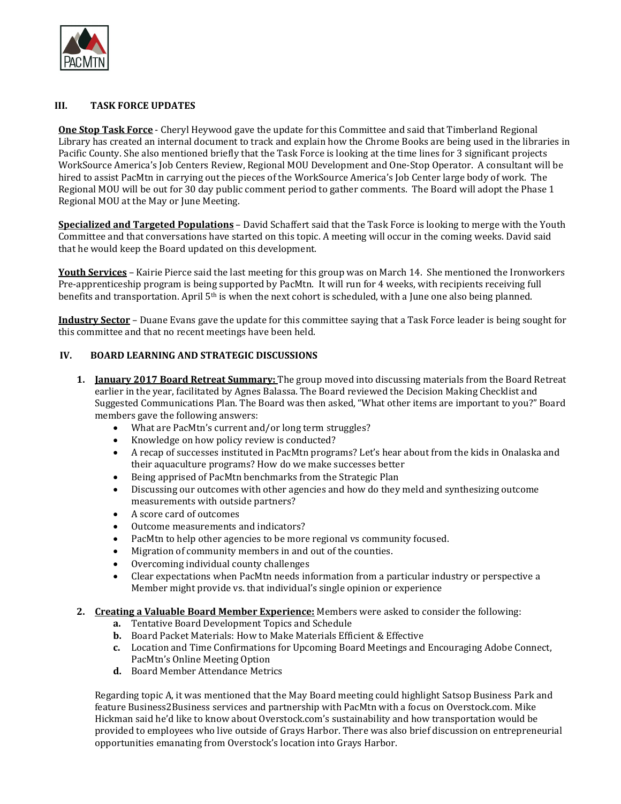

# III. TASK FORCE UPDATES

**One Stop Task Force** - Cheryl Heywood gave the update for this Committee and said that Timberland Regional Library has created an internal document to track and explain how the Chrome Books are being used in the libraries in Pacific County. She also mentioned briefly that the Task Force is looking at the time lines for 3 significant projects WorkSource America's Job Centers Review, Regional MOU Development and One-Stop Operator. A consultant will be hired to assist PacMtn in carrying out the pieces of the WorkSource America's Job Center large body of work. The Regional MOU will be out for 30 day public comment period to gather comments. The Board will adopt the Phase 1 Regional MOU at the May or June Meeting.

Specialized and Targeted Populations – David Schaffert said that the Task Force is looking to merge with the Youth Committee and that conversations have started on this topic. A meeting will occur in the coming weeks. David said that he would keep the Board updated on this development.

Youth Services - Kairie Pierce said the last meeting for this group was on March 14. She mentioned the Ironworkers Pre-apprenticeship program is being supported by PacMtn. It will run for 4 weeks, with recipients receiving full benefits and transportation. April  $5<sup>th</sup>$  is when the next cohort is scheduled, with a June one also being planned.

Industry Sector – Duane Evans gave the update for this committee saying that a Task Force leader is being sought for this committee and that no recent meetings have been held.

### IV. BOARD LEARNING AND STRATEGIC DISCUSSIONS

- 1. January 2017 Board Retreat Summary: The group moved into discussing materials from the Board Retreat earlier in the year, facilitated by Agnes Balassa. The Board reviewed the Decision Making Checklist and Suggested Communications Plan. The Board was then asked, "What other items are important to you?" Board members gave the following answers:
	- What are PacMtn's current and/or long term struggles?
	- Knowledge on how policy review is conducted?
	- A recap of successes instituted in PacMtn programs? Let's hear about from the kids in Onalaska and their aquaculture programs? How do we make successes better
	- Being apprised of PacMtn benchmarks from the Strategic Plan
	- Discussing our outcomes with other agencies and how do they meld and synthesizing outcome measurements with outside partners?
	- A score card of outcomes
	- Outcome measurements and indicators?
	- PacMtn to help other agencies to be more regional vs community focused.
	- Migration of community members in and out of the counties.
	- Overcoming individual county challenges
	- Clear expectations when PacMtn needs information from a particular industry or perspective a Member might provide vs. that individual's single opinion or experience
- 2. Creating a Valuable Board Member Experience: Members were asked to consider the following:
	- a. Tentative Board Development Topics and Schedule
	- b. Board Packet Materials: How to Make Materials Efficient & Effective
	- c. Location and Time Confirmations for Upcoming Board Meetings and Encouraging Adobe Connect, PacMtn's Online Meeting Option
	- d. Board Member Attendance Metrics

Regarding topic A, it was mentioned that the May Board meeting could highlight Satsop Business Park and feature Business2Business services and partnership with PacMtn with a focus on Overstock.com. Mike Hickman said he'd like to know about Overstock.com's sustainability and how transportation would be provided to employees who live outside of Grays Harbor. There was also brief discussion on entrepreneurial opportunities emanating from Overstock's location into Grays Harbor.